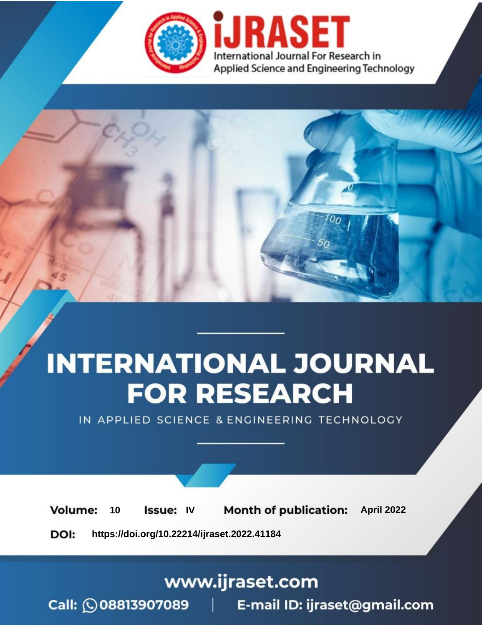

# **INTERNATIONAL JOURNAL FOR RESEARCH**

IN APPLIED SCIENCE & ENGINEERING TECHNOLOGY

10 **Issue: IV Month of publication:** April 2022 **Volume:** 

**https://doi.org/10.22214/ijraset.2022.41184**DOI:

www.ijraset.com

Call: **Q08813907089** E-mail ID: ijraset@gmail.com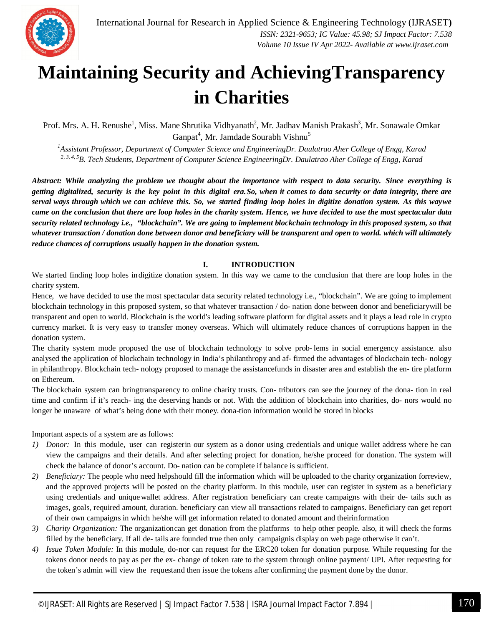

### **Maintaining Security and AchievingTransparency in Charities**

Prof. Mrs. A. H. Renushe<sup>1</sup>, Miss. Mane Shrutika Vidhyanath<sup>2</sup>, Mr. Jadhav Manish Prakash<sup>3</sup>, Mr. Sonawale Omkar Ganpat<sup>4</sup>, Mr. Jamdade Sourabh Vishnu<sup>5</sup>

*<sup>1</sup>Assistant Professor, Department of Computer Science and EngineeringDr. Daulatrao Aher College of Engg, Karad 2, 3, 4, 5B. Tech Students, Department of Computer Science EngineeringDr. Daulatrao Aher College of Engg, Karad*

*Abstract: While analyzing the problem we thought about the importance with respect to data security. Since everything is getting digitalized, security is the key point in this digital era.So, when it comes to data security or data integrity, there are*  serval ways through which we can achieve this. So, we started finding loop holes in digitize donation system. As this waywe *came on the conclusion that there are loop holes in the charity system. Hence, we have decided to use the most spectacular data security related technology i.e., "blockchain". We are going to implement blockchain technology in this proposed system, so that whatever transaction / donation done between donor and beneficiary will be transparent and open to world. which will ultimately reduce chances of corruptions usually happen in the donation system.*

#### **I. INTRODUCTION**

We started finding loop holes indigitize donation system. In this way we came to the conclusion that there are loop holes in the charity system.

Hence, we have decided to use the most spectacular data security related technology i.e., "blockchain". We are going to implement blockchain technology in this proposed system, so that whatever transaction / do- nation done between donor and beneficiarywill be transparent and open to world. Blockchain is the world's leading software platform for digital assets and it plays a lead role in crypto currency market. It is very easy to transfer money overseas. Which will ultimately reduce chances of corruptions happen in the donation system.

The charity system mode proposed the use of blockchain technology to solve prob- lems in social emergency assistance. also analysed the application of blockchain technology in India's philanthropy and af- firmed the advantages of blockchain tech- nology in philanthropy. Blockchain tech- nology proposed to manage the assistancefunds in disaster area and establish the en- tire platform on Ethereum.

The blockchain system can bringtransparency to online charity trusts. Con- tributors can see the journey of the dona- tion in real time and confirm if it's reach- ing the deserving hands or not. With the addition of blockchain into charities, do- nors would no longer be unaware of what's being done with their money. dona-tion information would be stored in blocks

Important aspects of a system are as follows:

- *1) Donor:* In this module, user can registerin our system as a donor using credentials and unique wallet address where he can view the campaigns and their details. And after selecting project for donation, he/she proceed for donation. The system will check the balance of donor's account. Do- nation can be complete if balance is sufficient.
- *2) Beneficiary:* The people who need helpshould fill the information which will be uploaded to the charity organization forreview, and the approved projects will be posted on the charity platform. In this module, user can register in system as a beneficiary using credentials and uniquewallet address. After registration beneficiary can create campaigns with their de- tails such as images, goals, required amount, duration. beneficiary can view all transactions related to campaigns. Beneficiary can get report of their own campaigns in which he/she will get information related to donated amount and theirinformation
- *3) Charity Organization:* The organizationcan get donation from the platforms to help other people. also, it will check the forms filled by the beneficiary. If all de- tails are founded true then only campaignis display on web page otherwise it can't.
- *4) Issue Token Module:* In this module, do-nor can request for the ERC20 token for donation purpose. While requesting for the tokens donor needs to pay as per the ex- change of token rate to the system through online payment/ UPI. After requesting for the token's admin will view the requestand then issue the tokens after confirming the payment done by the donor.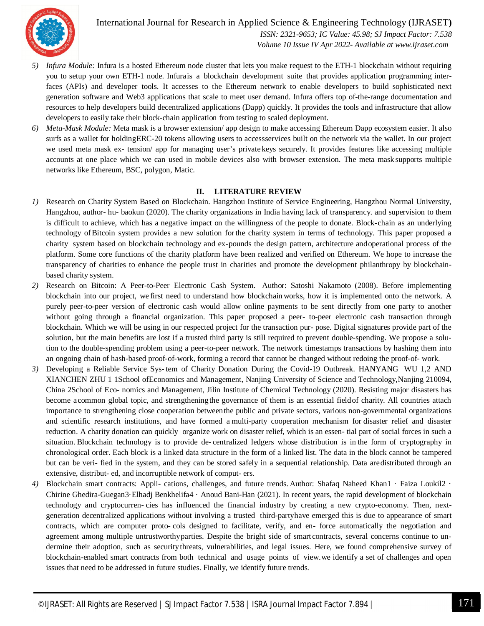

International Journal for Research in Applied Science & Engineering Technology (IJRASET**)**  *ISSN: 2321-9653; IC Value: 45.98; SJ Impact Factor: 7.538 Volume 10 Issue IV Apr 2022- Available at www.ijraset.com*

- *5) Infura Module:* Infura is a hosted Ethereum node cluster that lets you make request to the ETH-1 blockchain without requiring you to setup your own ETH-1 node. Infurais a blockchain development suite that provides application programming interfaces (APIs) and developer tools. It accesses to the Ethereum network to enable developers to build sophisticated next generation software and Web3 applications that scale to meet user demand. Infura offers top of-the-range documentation and resources to help developers build decentralized applications (Dapp) quickly. It provides the tools and infrastructure that allow developers to easily take their block-chain application from testing to scaled deployment.
- *6) Meta-Mask Module:* Meta mask is a browser extension/ app design to make accessing Ethereum Dapp ecosystem easier. It also surfs as a wallet for holdingERC-20 tokens allowing users to accessservices built on the network via the wallet. In our project we used meta mask ex- tension/ app for managing user's private keys securely. It provides features like accessing multiple accounts at one place which we can used in mobile devices also with browser extension. The meta mask supports multiple networks like Ethereum, BSC, polygon, Matic.

#### **II. LITERATURE REVIEW**

- *1)* Research on Charity System Based on Blockchain. Hangzhou Institute of Service Engineering, Hangzhou Normal University, Hangzhou, author- hu- baokun (2020). The charity organizations in India having lack of transparency. and supervision to them is difficult to achieve, which has a negative impact on the willingness of the people to donate. Block-chain as an underlying technology ofBitcoin system provides a new solution for the charity system in terms of technology. This paper proposed a charity system based on blockchain technology and ex-pounds the design pattern, architecture andoperational process of the platform. Some core functions of the charity platform have been realized and verified on Ethereum. We hope to increase the transparency of charities to enhance the people trust in charities and promote the development philanthropy by blockchainbased charity system.
- *2)* Research on Bitcoin: A Peer-to-Peer Electronic Cash System. Author: Satoshi Nakamoto (2008). Before implementing blockchain into our project, we first need to understand how blockchain works, how it is implemented onto the network. A purely peer-to-peer version of electronic cash would allow online payments to be sent directly from one party to another without going through a financial organization. This paper proposed a peer- to-peer electronic cash transaction through blockchain. Which we will be using in our respected project for the transaction pur- pose. Digital signatures provide part of the solution, but the main benefits are lost if a trusted third party is still required to prevent double-spending. We propose a solution to the double-spending problem using a peer-to-peer network. The network timestamps transactions by hashing them into an ongoing chain of hash-based proof-of-work, forming a record that cannot be changed without redoing the proof-of- work.
- *3)* Developing a Reliable Service Sys- tem of Charity Donation During the Covid-19 Outbreak. HANYANG WU 1,2 AND XIANCHEN ZHU 1 1School ofEconomics and Management, Nanjing University of Science and Technology,Nanjing 210094, China 2School of Eco- nomics and Management, Jilin Institute of Chemical Technology (2020). Resisting major disasters has become acommon global topic, and strengtheningthe governance of them is an essential fieldof charity. All countries attach importance to strengthening close cooperation betweenthe public and private sectors, various non-governmental organizations and scientific research institutions, and have formed a multi-party cooperation mechanism for disaster relief and disaster reduction. A charity donation can quickly organize work on disaster relief, which is an essen- tial part of social forces in such a situation. Blockchain technology is to provide de- centralized ledgers whose distribution is in the form of cryptography in chronological order. Each block is a linked data structure in the form of a linked list. The data in the block cannot be tampered but can be veri- fied in the system, and they can be stored safely in a sequential relationship. Data aredistributed through an extensive, distribut- ed, and incorruptible network of comput- ers.
- *4)* Blockchain smart contracts: Appli- cations, challenges, and future trends. Author: Shafaq Naheed Khan1 · Faiza Loukil2 · Chirine Ghedira-Guegan3·Elhadj Benkhelifa4 · Anoud Bani-Han (2021). In recent years, the rapid development of blockchain technology and cryptocurren- cies has influenced the financial industry by creating a new crypto-economy. Then, nextgeneration decentralized applications without involving a trusted third-partyhave emerged this is due to appearance of smart contracts, which are computer proto- cols designed to facilitate, verify, and en- force automatically the negotiation and agreement among multiple untrustworthyparties. Despite the bright side of smart contracts, several concerns continue to undermine their adoption, such as securitythreats, vulnerabilities, and legal issues. Here, we found comprehensive survey of blockchain-enabled smart contracts from both technical and usage points of view.we identify a set of challenges and open issues that need to be addressed in future studies. Finally, we identify future trends.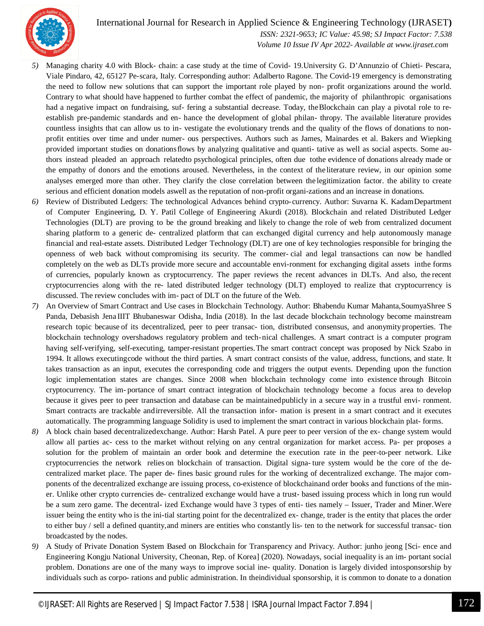

 *ISSN: 2321-9653; IC Value: 45.98; SJ Impact Factor: 7.538 Volume 10 Issue IV Apr 2022- Available at www.ijraset.com*

- *5)* Managing charity 4.0 with Block- chain: a case study at the time of Covid- 19.University G. D'Annunzio of Chieti- Pescara, Viale Pindaro, 42, 65127 Pe-scara, Italy. Corresponding author: Adalberto Ragone. The Covid-19 emergency is demonstrating the need to follow new solutions that can support the important role played by non- profit organizations around the world. Contrary to what should have happened to further combat the effect of pandemic, the majority of philanthropic organisations had a negative impact on fundraising, suf- fering a substantial decrease. Today, the Blockchain can play a pivotal role to reestablish pre-pandemic standards and en- hance the development of global philan- thropy. The available literature provides countless insights that can allow us to in- vestigate the evolutionary trends and the quality of the flows of donations to nonprofit entities over time and under numer- ous perspectives. Authors such as James, Mainardes et al. Bakers and Wiepking provided important studies on donationsflows by analyzing qualitative and quanti- tative as well as social aspects. Some authors instead pleaded an approach relatedto psychological principles, often due tothe evidence of donations already made or the empathy of donors and the emotions aroused. Nevertheless, in the context of the literature review, in our opinion some analyses emerged more than other. They clarify the close correlation between the legitimization factor. the ability to create serious and efficient donation models aswell as the reputation of non-profit organi-zations and an increase in donations.
- *6)* Review of Distributed Ledgers: The technological Advances behind crypto-currency. Author: Suvarna K. KadamDepartment of Computer Engineering, D. Y. Patil College of Engineering Akurdi (2018). Blockchain and related Distributed Ledger Technologies (DLT) are proving to be the ground breaking and likely to change the role of web from centralized document sharing platform to a generic de- centralized platform that can exchanged digital currency and help autonomously manage financial and real-estate assets. Distributed Ledger Technology (DLT) are one of key technologies responsible for bringing the openness of web back without compromising its security. The commer- cial and legal transactions can now be handled completely on the web as DLTs provide more secure and accountable envi-ronment for exchanging digital assets inthe forms of currencies, popularly known as cryptocurrency. The paper reviews the recent advances in DLTs. And also, the recent cryptocurrencies along with the re- lated distributed ledger technology (DLT) employed to realize that cryptocurrency is discussed. The review concludes with im- pact of DLT on the future of the Web.
- *7)* An Overview of Smart Contract and Use cases in Blockchain Technology. Author: Bhabendu Kumar Mahanta,SoumyaShree S Panda, Debasish Jena IIIT Bhubaneswar Odisha, India (2018). In the last decade blockchain technology become mainstream research topic because of its decentralized, peer to peer transac- tion, distributed consensus, and anonymity properties. The blockchain technology overshadows regulatory problem and tech-nical challenges. A smart contract is a computer program having self-verifying, self-executing, tamper-resistant properties.The smart contract concept was proposed by Nick Szabo in 1994. It allows executingcode without the third parties. A smart contract consists of the value, address, functions, and state. It takes transaction as an input, executes the corresponding code and triggers the output events. Depending upon the function logic implementation states are changes. Since 2008 when blockchain technology come into existence through Bitcoin cryptocurrency. The im- portance of smart contract integration of blockchain technology become a focus area to develop because it gives peer to peer transaction and database can be maintainedpublicly in a secure way in a trustful envi- ronment. Smart contracts are trackable andirreversible. All the transaction infor- mation is present in a smart contract and it executes automatically. The programming language Solidity is used to implement the smart contract in various blockchain plat- forms.
- *8)* A block chain based decentralizedexchange. Author: Harsh Patel. A pure peer to peer version of the ex- change system would allow all parties ac- cess to the market without relying on any central organization for market access. Pa- per proposes a solution for the problem of maintain an order book and determine the execution rate in the peer-to-peer network. Like cryptocurrencies the network relies on blockchain of transaction. Digital signa- ture system would be the core of the decentralized market place. The paper de- fines basic ground rules for the working of decentralized exchange. The major components of the decentralized exchange are issuing process, co-existence of blockchainand order books and functions of the miner. Unlike other crypto currencies de- centralized exchange would have a trust- based issuing process which in long run would be a sum zero game. The decentral- ized Exchange would have 3 types of enti- ties namely – Issuer, Trader and Miner.Were issuer being the entity who is the ini-tial starting point for the decentralized ex- change, trader is the entity that places the order to either buy / sell a defined quantity,and miners are entities who constantly lis- ten to the network for successful transac- tion broadcasted by the nodes.
- *9)* A Study of Private Donation System Based on Blockchain for Transparency and Privacy. Author: junho jeong [Sci- ence and Engineering Kongju National University, Cheonan, Rep. of Korea] (2020). Nowadays, social inequality is an im- portant social problem. Donations are one of the many ways to improve social ine- quality. Donation is largely divided intosponsorship by individuals such as corpo- rations and public administration. In theindividual sponsorship, it is common to donate to a donation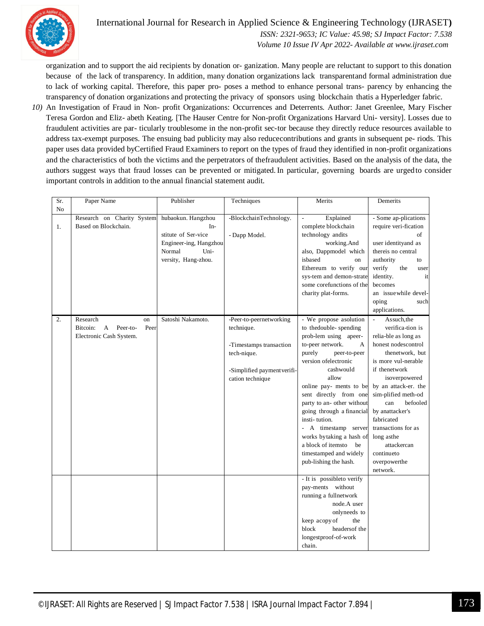

 *ISSN: 2321-9653; IC Value: 45.98; SJ Impact Factor: 7.538 Volume 10 Issue IV Apr 2022- Available at www.ijraset.com*

organization and to support the aid recipients by donation or- ganization. Many people are reluctant to support to this donation because of the lack of transparency. In addition, many donation organizations lack transparentand formal administration due to lack of working capital. Therefore, this paper pro- poses a method to enhance personal trans- parency by enhancing the transparency of donation organizations and protecting the privacy of sponsors using blockchain thatis a Hyperledger fabric.

*10)* An Investigation of Fraud in Non- profit Organizations: Occurrences and Deterrents. Author: Janet Greenlee, Mary Fischer Teresa Gordon and Eliz- abeth Keating. [The Hauser Centre for Non-profit Organizations Harvard Uni- versity]. Losses due to fraudulent activities are par- ticularly troublesome in the non-profit sec-tor because they directly reduce resources available to address tax-exempt purposes. The ensuing bad publicity may also reducecontributions and grants in subsequent pe- riods. This paper uses data provided byCertified Fraud Examiners to report on the types of fraud they identified in non-profit organizations and the characteristics of both the victims and the perpetrators of thefraudulent activities. Based on the analysis of the data, the authors suggest ways that fraud losses can be prevented or mitigated.In particular, governing boards are urgedto consider important controls in addition to the annual financial statement audit.

| Sr.              | Paper Name                                                     | Publisher                                                                                                             | Techniques                              | Merits                                                                                                                                                                                                                                    | Demerits                                                                                                                                                                                                             |
|------------------|----------------------------------------------------------------|-----------------------------------------------------------------------------------------------------------------------|-----------------------------------------|-------------------------------------------------------------------------------------------------------------------------------------------------------------------------------------------------------------------------------------------|----------------------------------------------------------------------------------------------------------------------------------------------------------------------------------------------------------------------|
| N <sub>o</sub>   |                                                                |                                                                                                                       |                                         |                                                                                                                                                                                                                                           |                                                                                                                                                                                                                      |
| 1.               | Research on Charity System<br>Based on Blockchain.             | hubaokun. Hangzhou<br>$In-$<br>stitute of Ser-vice<br>Engineer-ing, Hangzhou<br>Normal<br>Uni-<br>versity, Hang-zhou. | -BlockchainTechnology.<br>- Dapp Model. | Explained<br>$\frac{1}{2}$<br>complete blockchain<br>technology andits<br>working.And<br>also, Dappmodel which<br>isbased<br>on<br>Ethereum to verify our<br>sys-tem and demon-strate<br>some corefunctions of the<br>charity plat-forms. | - Some ap-plications<br>require veri-fication<br>of<br>user identityand as<br>thereis no central<br>authority<br>to<br>verify<br>the<br>user<br>identity.<br>it<br>becomes<br>an issue while devel-<br>oping<br>such |
|                  |                                                                |                                                                                                                       |                                         |                                                                                                                                                                                                                                           | applications.                                                                                                                                                                                                        |
| $\overline{2}$ . | Research<br>on<br>Bitcoin:<br>Peer<br>$\mathbf{A}$<br>Peer-to- | Satoshi Nakamoto.                                                                                                     | -Peer-to-peernetworking<br>technique.   | - We propose asolution<br>to thedouble-spending                                                                                                                                                                                           | $\mathbb{Z}$<br>Assuch, the<br>verifica-tion is                                                                                                                                                                      |
|                  | Electronic Cash System.                                        |                                                                                                                       |                                         | prob-lem using apeer-                                                                                                                                                                                                                     | relia-ble as long as                                                                                                                                                                                                 |
|                  |                                                                |                                                                                                                       | -Timestamps transaction                 | to-peer network.<br>A                                                                                                                                                                                                                     | honest nodescontrol                                                                                                                                                                                                  |
|                  |                                                                |                                                                                                                       | tech-nique.                             | purely<br>peer-to-peer                                                                                                                                                                                                                    | thenetwork, but                                                                                                                                                                                                      |
|                  |                                                                |                                                                                                                       |                                         | version ofelectronic                                                                                                                                                                                                                      | is more vul-nerable                                                                                                                                                                                                  |
|                  |                                                                |                                                                                                                       | -Simplified payment verifi-             | cashwould                                                                                                                                                                                                                                 | if thenetwork                                                                                                                                                                                                        |
|                  |                                                                |                                                                                                                       | cation technique                        | allow                                                                                                                                                                                                                                     | isoverpowered                                                                                                                                                                                                        |
|                  |                                                                |                                                                                                                       |                                         | online pay- ments to be                                                                                                                                                                                                                   | by an attack-er. the                                                                                                                                                                                                 |
|                  |                                                                |                                                                                                                       |                                         | sent directly from one                                                                                                                                                                                                                    | sim-plified meth-od<br>befooled                                                                                                                                                                                      |
|                  |                                                                |                                                                                                                       |                                         | party to an- other without<br>going through a financial                                                                                                                                                                                   | can<br>by anattacker's                                                                                                                                                                                               |
|                  |                                                                |                                                                                                                       |                                         | insti-tution.                                                                                                                                                                                                                             | fabricated                                                                                                                                                                                                           |
|                  |                                                                |                                                                                                                       |                                         | - A timestamp server                                                                                                                                                                                                                      | transactions for as                                                                                                                                                                                                  |
|                  |                                                                |                                                                                                                       |                                         | works bytaking a hash of                                                                                                                                                                                                                  | long asthe                                                                                                                                                                                                           |
|                  |                                                                |                                                                                                                       |                                         | a block of itemsto<br>be                                                                                                                                                                                                                  | attackercan                                                                                                                                                                                                          |
|                  |                                                                |                                                                                                                       |                                         | timestamped and widely                                                                                                                                                                                                                    | continueto                                                                                                                                                                                                           |
|                  |                                                                |                                                                                                                       |                                         | pub-lishing the hash.                                                                                                                                                                                                                     | overpowerthe                                                                                                                                                                                                         |
|                  |                                                                |                                                                                                                       |                                         |                                                                                                                                                                                                                                           | network.                                                                                                                                                                                                             |
|                  |                                                                |                                                                                                                       |                                         | - It is possibleto verify                                                                                                                                                                                                                 |                                                                                                                                                                                                                      |
|                  |                                                                |                                                                                                                       |                                         | pay-ments without                                                                                                                                                                                                                         |                                                                                                                                                                                                                      |
|                  |                                                                |                                                                                                                       |                                         | running a fullnetwork                                                                                                                                                                                                                     |                                                                                                                                                                                                                      |
|                  |                                                                |                                                                                                                       |                                         | node.A user<br>onlyneeds to                                                                                                                                                                                                               |                                                                                                                                                                                                                      |
|                  |                                                                |                                                                                                                       |                                         | keep acopy of<br>the                                                                                                                                                                                                                      |                                                                                                                                                                                                                      |
|                  |                                                                |                                                                                                                       |                                         | headers of the<br>block                                                                                                                                                                                                                   |                                                                                                                                                                                                                      |
|                  |                                                                |                                                                                                                       |                                         | longestproof-of-work                                                                                                                                                                                                                      |                                                                                                                                                                                                                      |
|                  |                                                                |                                                                                                                       |                                         | chain.                                                                                                                                                                                                                                    |                                                                                                                                                                                                                      |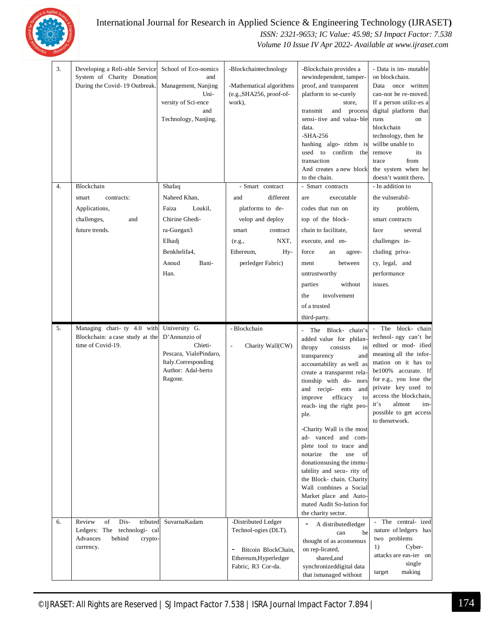

#### International Journal for Research in Applied Science & Engineering Technology (IJRASET**)**  *ISSN: 2321-9653; IC Value: 45.98; SJ Impact Factor: 7.538*

 *Volume 10 Issue IV Apr 2022- Available at www.ijraset.com*

|    | 3.<br>Developing a Reli-able Service<br>System of Charity Donation<br>During the Covid-19 Outbreak. | School of Eco-nomics<br>and<br>Management, Nanjing<br>Uni-<br>versity of Sci-ence<br>and<br>Technology, Nanjing. | -Blockchaintechnology<br>-Mathematical algorithms<br>(e.g., SHA256, proof-of-<br>work), | -Blockchain provides a<br>newindependent, tamper-<br>proof, and transparent<br>platform to se-curely<br>store,<br>transmit<br>and process<br>sensi-tive and valua-ble<br>data.<br>$-SHA-256$<br>hashing algo-rithm is<br>used to confirm the<br>transaction<br>And creates a new block<br>to the chain.                                                                                                                                                                                                                                                                                                       | - Data is im- mutable<br>on blockchain.<br>Data<br>once written<br>can-not be re-moved.<br>If a person utiliz-es a<br>digital platform that<br>runs<br>on<br>blockchain<br>technology, then he<br>willbe unable to<br>remove<br>its<br>from<br>trace<br>the system when he<br>doesn't wantit there. |
|----|-----------------------------------------------------------------------------------------------------|------------------------------------------------------------------------------------------------------------------|-----------------------------------------------------------------------------------------|---------------------------------------------------------------------------------------------------------------------------------------------------------------------------------------------------------------------------------------------------------------------------------------------------------------------------------------------------------------------------------------------------------------------------------------------------------------------------------------------------------------------------------------------------------------------------------------------------------------|-----------------------------------------------------------------------------------------------------------------------------------------------------------------------------------------------------------------------------------------------------------------------------------------------------|
| 4. | Blockchain                                                                                          | Shafaq                                                                                                           | - Smart contract                                                                        | - Smart contracts                                                                                                                                                                                                                                                                                                                                                                                                                                                                                                                                                                                             | - In addition to                                                                                                                                                                                                                                                                                    |
|    | smart<br>contracts:                                                                                 | Naheed Khan,                                                                                                     | different<br>and                                                                        | executable<br>are                                                                                                                                                                                                                                                                                                                                                                                                                                                                                                                                                                                             | the vulnerabil-                                                                                                                                                                                                                                                                                     |
|    | Applications,                                                                                       | Faiza<br>Loukil,                                                                                                 | platforms to de-                                                                        | codes that run on                                                                                                                                                                                                                                                                                                                                                                                                                                                                                                                                                                                             | problem,<br>ity                                                                                                                                                                                                                                                                                     |
|    | challenges,<br>and                                                                                  | Chirine Ghedi-                                                                                                   | velop and deploy                                                                        | top of the block-                                                                                                                                                                                                                                                                                                                                                                                                                                                                                                                                                                                             | smart contracts                                                                                                                                                                                                                                                                                     |
|    | future trends.                                                                                      | ra-Guegan3                                                                                                       | contract<br>smart                                                                       | chain to facilitate,                                                                                                                                                                                                                                                                                                                                                                                                                                                                                                                                                                                          | face<br>several                                                                                                                                                                                                                                                                                     |
|    |                                                                                                     | Elhadj                                                                                                           | NXT,<br>(e.g.,                                                                          | execute, and en-                                                                                                                                                                                                                                                                                                                                                                                                                                                                                                                                                                                              | challenges in-                                                                                                                                                                                                                                                                                      |
|    |                                                                                                     | Benkhelifa4.                                                                                                     | Ethereum,<br>Hy-                                                                        | force<br>an<br>agree-                                                                                                                                                                                                                                                                                                                                                                                                                                                                                                                                                                                         | cluding priva-                                                                                                                                                                                                                                                                                      |
|    |                                                                                                     | Anoud<br>Bani-                                                                                                   | perledger Fabric)                                                                       | between<br>ment                                                                                                                                                                                                                                                                                                                                                                                                                                                                                                                                                                                               | cy, legal, and                                                                                                                                                                                                                                                                                      |
|    |                                                                                                     | Han.                                                                                                             |                                                                                         | untrustworthy<br>without<br>parties                                                                                                                                                                                                                                                                                                                                                                                                                                                                                                                                                                           | performance<br>issues.                                                                                                                                                                                                                                                                              |
|    |                                                                                                     |                                                                                                                  |                                                                                         | involvement<br>the                                                                                                                                                                                                                                                                                                                                                                                                                                                                                                                                                                                            |                                                                                                                                                                                                                                                                                                     |
|    |                                                                                                     |                                                                                                                  |                                                                                         | of a trusted                                                                                                                                                                                                                                                                                                                                                                                                                                                                                                                                                                                                  |                                                                                                                                                                                                                                                                                                     |
|    |                                                                                                     |                                                                                                                  |                                                                                         | third-party.                                                                                                                                                                                                                                                                                                                                                                                                                                                                                                                                                                                                  |                                                                                                                                                                                                                                                                                                     |
| 5. | Managing chari- ty 4.0 with                                                                         | University G.                                                                                                    | - Blockchain                                                                            |                                                                                                                                                                                                                                                                                                                                                                                                                                                                                                                                                                                                               | - The block- chain                                                                                                                                                                                                                                                                                  |
|    | Blockchain: a case study at the<br>time of Covid-19.                                                | D'Annunzio of<br>Chieti-<br>Pescara, VialePindaro,<br>Italy.Corresponding<br>Author: Adal-berto<br>Ragone.       | Charity Wall(CW)<br>$\overline{\phantom{a}}$                                            | The Block-chain's<br>$\overline{a}$<br>added value for philan-<br>thropy<br>consists<br>in<br>transparency<br>and<br>accountability as well as<br>create a transparent rela-<br>tionship with do- nors<br>and recipi- ents<br>and<br>improve<br>efficacy<br>to<br>reach-ing the right peo-<br>ple.<br>-Charity Wall is the most<br>ad- vanced and com-<br>plete tool to trace and<br>notarize the<br>use<br>of<br>donations using the immu-<br>tability and secu-rity of<br>the Block- chain. Charity<br>Wall combines a Social<br>Market place and Auto-<br>mated Audit So-lution for<br>the charity sector. | technol- ogy can't be<br>edited or mod- ified<br>meaning all the infor-<br>mation on it has to<br>be100% accurate. If<br>for e.g., you lose the<br>private key used to<br>access the blockchain,<br>it's<br>almost<br>im-<br>possible to get access<br>to thenetwork.                               |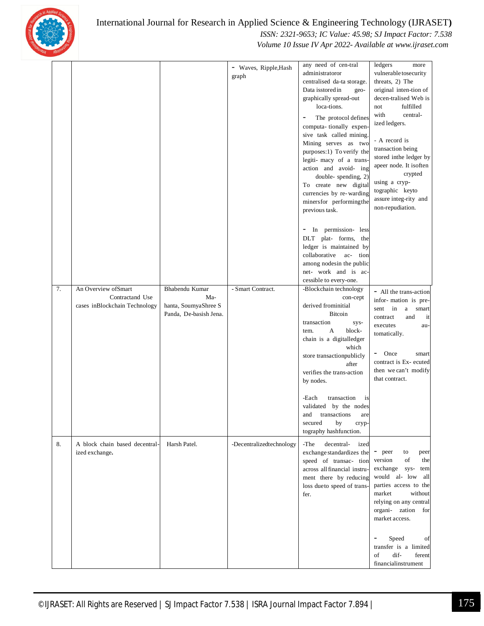

|    |                                                                          |                                                                         | - Waves, Ripple, Hash<br>graph | any need of cen-tral<br>administratoror<br>centralised da-ta storage.<br>Data isstored in<br>geo-<br>graphically spread-out<br>loca-tions.<br>The protocol defines<br>computa-tionally expen-<br>sive task called mining.<br>Mining serves as two<br>purposes:1) To verify the<br>legiti-macy of a trans-<br>action and avoid- ing<br>double-spending, 2)<br>To create new digital<br>currencies by re-warding<br>minersfor performing the<br>previous task. | ledgers<br>more<br>vulnerable tosecurity<br>threats, 2) The<br>original inten-tion of<br>decen-tralised Web is<br>fulfilled<br>not<br>with<br>central-<br>ized ledgers.<br>- A record is<br>transaction being<br>stored inthe ledger by<br>apeer node. It isoften<br>crypted<br>using a cryp-<br>tographic keyto<br>assure integ-rity and<br>non-repudiation. |
|----|--------------------------------------------------------------------------|-------------------------------------------------------------------------|--------------------------------|--------------------------------------------------------------------------------------------------------------------------------------------------------------------------------------------------------------------------------------------------------------------------------------------------------------------------------------------------------------------------------------------------------------------------------------------------------------|---------------------------------------------------------------------------------------------------------------------------------------------------------------------------------------------------------------------------------------------------------------------------------------------------------------------------------------------------------------|
|    |                                                                          |                                                                         |                                | In permission- less<br>-<br>DLT plat- forms, the<br>ledger is maintained by<br>collaborative ac- tion<br>among nodesin the public<br>net- work and is ac-<br>cessible to every-one.                                                                                                                                                                                                                                                                          |                                                                                                                                                                                                                                                                                                                                                               |
| 7. | An Overview of Smart<br>Contractand Use<br>cases inBlockchain Technology | Bhabendu Kumar<br>Ma-<br>hanta, SoumyaShree S<br>Panda, De-basish Jena. | - Smart Contract.              | -Blockchain technology<br>con-cept<br>derived frominitial<br><b>Bitcoin</b><br>transaction<br>sys-<br>A<br>block-<br>tem.<br>chain is a digitalledger<br>which<br>store transactionpublicly<br>after<br>verifies the trans-action<br>by nodes.<br>transaction<br>-Each<br>is<br>validated by the nodes                                                                                                                                                       | - All the trans-action<br>infor-mation is pre-<br>sent in<br>a smart<br>contract<br>and<br>it<br>executes<br>au-<br>tomatically.<br>-<br>Once<br>smart<br>contract is Ex- ecuted<br>then we can't modify<br>that contract.                                                                                                                                    |
|    |                                                                          |                                                                         |                                | and<br>transactions<br>are<br>secured<br>by<br>cryp-<br>tography hashfunction.                                                                                                                                                                                                                                                                                                                                                                               |                                                                                                                                                                                                                                                                                                                                                               |
| 8. | A block chain based decentral-<br>ized exchange.                         | Harsh Patel.                                                            | -Decentralizedtechnology       | -The<br>decentral-<br>ized<br>exchange standardizes the<br>speed of transac- tion<br>across all financial instru-<br>ment there by reducing<br>loss dueto speed of trans-<br>fer.                                                                                                                                                                                                                                                                            | - peer<br>to<br>peer<br>of<br>version<br>the<br>exchange<br>sys-<br>tem<br>would al- low<br>all<br>parties access to the<br>market<br>without<br>relying on any central<br>organi- zation<br>for<br>market access.                                                                                                                                            |
|    |                                                                          |                                                                         |                                |                                                                                                                                                                                                                                                                                                                                                                                                                                                              | Speed<br>$\overline{\phantom{a}}$<br>of<br>transfer is a limited<br>dif-<br>of<br>ferent<br>financialinstrument                                                                                                                                                                                                                                               |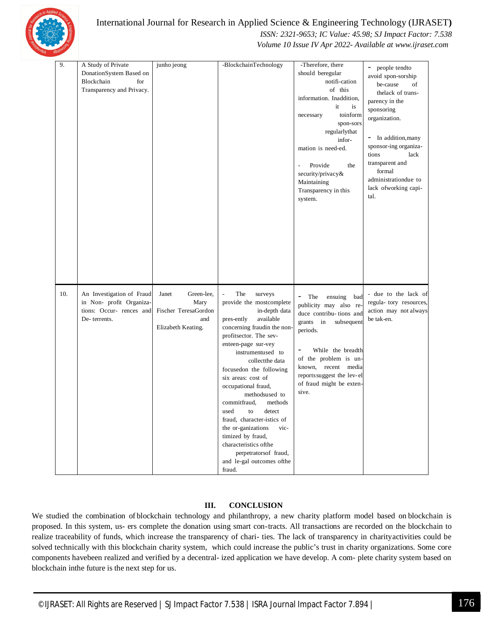

 *ISSN: 2321-9653; IC Value: 45.98; SJ Impact Factor: 7.538*

 *Volume 10 Issue IV Apr 2022- Available at www.ijraset.com*

| 9.  | A Study of Private<br>DonationSystem Based on<br>Blockchain<br>for<br>Transparency and Privacy.   | junho jeong                                                                      | -BlockchainTechnology                                                                                                                                                                                                                                                                                                                                                                                                                                                                                                                   | -Therefore, there<br>should beregular<br>notifi-cation<br>of this<br>information. Inaddition,<br>it<br>is<br>toinform<br>necessary<br>spon-sors<br>regularlythat<br>infor-<br>mation is need-ed.<br>Provide<br>the<br>$\overline{\phantom{a}}$<br>security/privacy&<br>Maintaining<br>Transparency in this<br>system. | people tendto<br>$\overline{\phantom{a}}$<br>avoid spon-sorship<br>be-cause<br>of<br>thelack of trans-<br>parency in the<br>sponsoring<br>organization.<br>- In addition, many<br>sponsor-ing organiza-<br>lack<br>tions<br>transparent and<br>formal<br>administrationdue to<br>lack ofworking capi-<br>tal. |
|-----|---------------------------------------------------------------------------------------------------|----------------------------------------------------------------------------------|-----------------------------------------------------------------------------------------------------------------------------------------------------------------------------------------------------------------------------------------------------------------------------------------------------------------------------------------------------------------------------------------------------------------------------------------------------------------------------------------------------------------------------------------|-----------------------------------------------------------------------------------------------------------------------------------------------------------------------------------------------------------------------------------------------------------------------------------------------------------------------|---------------------------------------------------------------------------------------------------------------------------------------------------------------------------------------------------------------------------------------------------------------------------------------------------------------|
| 10. | An Investigation of Fraud<br>in Non- profit Organiza-<br>tions: Occur- rences and<br>De-terrents. | Green-lee,<br>Janet<br>Mary<br>Fischer TeresaGordon<br>and<br>Elizabeth Keating. | The<br>surveys<br>provide the mostcomplete<br>in-depth data<br>available<br>pres-ently<br>concerning fraudin the non-<br>profitsector. The sev-<br>enteen-page sur-vey<br>instrumentused to<br>collectthe data<br>focused on the following<br>six areas: cost of<br>occupational fraud,<br>methodsused to<br>commitfraud,<br>methods<br>used<br>to<br>detect<br>fraud, character-istics of<br>the or-ganizations<br>vic-<br>timized by fraud,<br>characteristics of the<br>perpetratorsof fraud,<br>and le-gal outcomes ofthe<br>fraud. | The<br>$\overline{\phantom{a}}$<br>ensuing bad<br>publicity may also re-<br>duce contribu-tions and<br>grants in<br>subsequent<br>periods.<br>While the breadth<br>of the problem is un-<br>known, recent media<br>reports suggest the lev-el<br>of fraud might be exten-<br>sive.                                    | - due to the lack of<br>regula- tory resources,<br>action may not always<br>be tak-en.                                                                                                                                                                                                                        |

#### **III. CONCLUSION**

We studied the combination of blockchain technology and philanthropy, a new charity platform model based on blockchain is proposed. In this system, us- ers complete the donation using smart con-tracts. All transactions are recorded on the blockchain to realize traceability of funds, which increase the transparency of chari- ties. The lack of transparency in charityactivities could be solved technically with this blockchain charity system, which could increase the public's trust in charity organizations. Some core components havebeen realized and verified by a decentral- ized application we have develop. A com- plete charity system based on blockchain inthe future is the next step for us.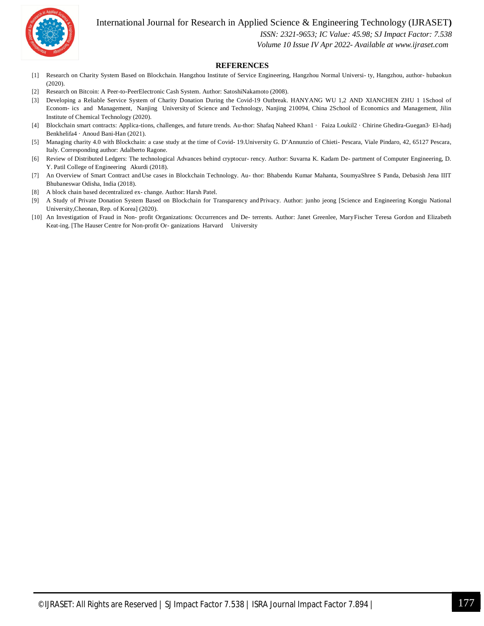

 *ISSN: 2321-9653; IC Value: 45.98; SJ Impact Factor: 7.538*

 *Volume 10 Issue IV Apr 2022- Available at www.ijraset.com*

#### **REFERENCES**

- [1] Research on Charity System Based on Blockchain. Hangzhou Institute of Service Engineering, Hangzhou Normal Universi- ty, Hangzhou, author- hubaokun (2020).
- [2] Research on Bitcoin: A Peer-to-PeerElectronic Cash System. Author: SatoshiNakamoto (2008).
- [3] Developing a Reliable Service System of Charity Donation During the Covid-19 Outbreak. HANYANG WU 1,2 AND XIANCHEN ZHU 1 1School of Econom- ics and Management, Nanjing University of Science and Technology, Nanjing 210094, China 2School of Economics and Management, Jilin Institute of Chemical Technology (2020).
- [4] Blockchain smart contracts: Applica-tions, challenges, and future trends. Au-thor: Shafaq Naheed Khan1 · Faiza Loukil2 · Chirine Ghedira-Guegan3· El-hadj Benkhelifa4 · Anoud Bani-Han (2021).
- [5] Managing charity 4.0 with Blockchain: a case study at the time of Covid- 19.University G. D'Annunzio of Chieti- Pescara, Viale Pindaro, 42, 65127 Pescara, Italy. Corresponding author: Adalberto Ragone.
- [6] Review of Distributed Ledgers: The technological Advances behind cryptocur- rency. Author: Suvarna K. Kadam De- partment of Computer Engineering, D. Y. Patil College of Engineering Akurdi (2018).
- [7] An Overview of Smart Contract andUse cases in Blockchain Technology. Au- thor: Bhabendu Kumar Mahanta, SoumyaShree S Panda, Debasish Jena IIIT Bhubaneswar Odisha, India (2018).
- [8] A block chain based decentralized ex- change. Author: Harsh Patel.
- [9] A Study of Private Donation System Based on Blockchain for Transparency and Privacy. Author: junho jeong [Science and Engineering Kongju National University,Cheonan, Rep. of Korea] (2020).
- [10] An Investigation of Fraud in Non- profit Organizations: Occurrences and De- terrents. Author: Janet Greenlee, MaryFischer Teresa Gordon and Elizabeth Keat-ing. [The Hauser Centre for Non-profit Or- ganizations Harvard University